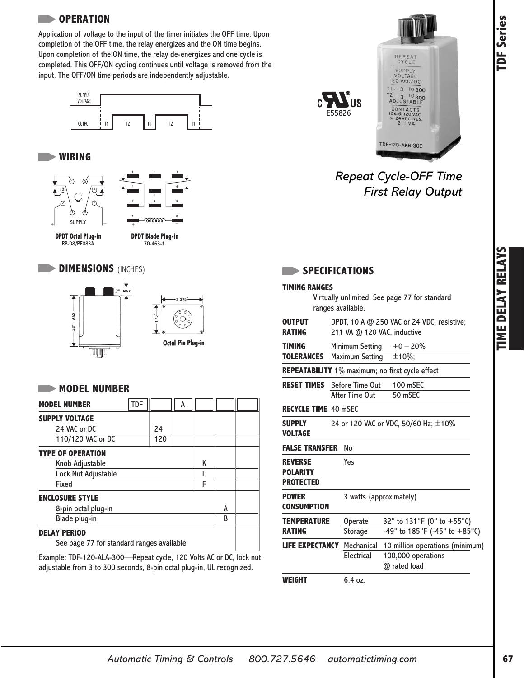# **TDF Series**

#### **OPERATION**

Application of voltage to the input of the timer initiates the OFF time. Upon completion of the OFF time, the relay energizes and the ON time begins. Upon completion of the ON time, the relay de-energizes and one cycle is completed. This OFF/ON cycling continues until voltage is removed from the input. The OFF/ON time periods are independently adjustable.



#### **WIRING**





#### **MODEL NUMBER**

| <b>MODEL NUMBER</b>                       | <b>TDF</b> |     | A |  |   |  |
|-------------------------------------------|------------|-----|---|--|---|--|
| <b>SUPPLY VOLTAGE</b>                     |            |     |   |  |   |  |
| 24 VAC or DC                              |            | 24  |   |  |   |  |
| 110/120 VAC or DC                         |            | 120 |   |  |   |  |
| <b>TYPE OF OPERATION</b>                  |            |     |   |  |   |  |
| Knob Adjustable                           |            |     |   |  |   |  |
| Lock Nut Adjustable                       |            |     |   |  |   |  |
| Fixed                                     |            |     |   |  |   |  |
| <b>ENCLOSURE STYLE</b>                    |            |     |   |  |   |  |
| 8-pin octal plug-in                       |            |     |   |  | A |  |
| Blade plug-in                             |            |     |   |  |   |  |
| <b>DELAY PERIOD</b>                       |            |     |   |  |   |  |
| See page 77 for standard ranges available |            |     |   |  |   |  |

Example: TDF-120-ALA-300—Repeat cycle, 120 Volts AC or DC, lock nut adjustable from 3 to 300 seconds, 8-pin octal plug-in, UL recognized.





## *Repeat Cycle-OFF Time First Relay Output*

|                                                       | <b>SPECIFICATIONS</b>                                                                             |  |  |  |  |  |
|-------------------------------------------------------|---------------------------------------------------------------------------------------------------|--|--|--|--|--|
| <b>TIMING RANGES</b>                                  | Virtually unlimited. See page 77 for standard<br>ranges available.                                |  |  |  |  |  |
| <b>OUTPUT</b><br>RATING                               | DPDT, 10 A @ 250 VAC or 24 VDC, resistive;<br>211 VA @ 120 VAC, inductive                         |  |  |  |  |  |
| <b>TIMING</b><br><b>TOLERANCES</b>                    | $+0 - 20%$<br>Minimum Setting<br>±10%;<br>Maximum Setting                                         |  |  |  |  |  |
|                                                       | REPEATABILITY 1% maximum; no first cycle effect                                                   |  |  |  |  |  |
| <b>RESET TIMES</b>                                    | <b>Before Time Out</b><br>100 mSEC<br>After Time Out<br>50 mSEC                                   |  |  |  |  |  |
| <b>RECYCLE TIME 40 mSEC</b>                           |                                                                                                   |  |  |  |  |  |
| <b>SUPPLY</b><br><b>VOLTAGE</b>                       | 24 or 120 VAC or VDC, 50/60 Hz; ±10%                                                              |  |  |  |  |  |
| <b>FALSE TRANSFER</b>                                 | No                                                                                                |  |  |  |  |  |
| <b>REVERSE</b><br><b>POLARITY</b><br><b>PROTECTED</b> | Yes                                                                                               |  |  |  |  |  |
| <b>POWER</b><br><b>CONSUMPTION</b>                    | 3 watts (approximately)                                                                           |  |  |  |  |  |
| <b>TEMPERATURE</b><br><b>RATING</b>                   | 32° to 131°F (0° to +55°C)<br>Operate<br>-49° to 185°F (-45° to +85°C)<br>Storage                 |  |  |  |  |  |
| <b>LIFE EXPECTANCY</b>                                | Mechanical<br>10 million operations (minimum)<br>Electrical<br>100,000 operations<br>@ rated load |  |  |  |  |  |
| WEIGHT                                                | 6.4 oz.                                                                                           |  |  |  |  |  |